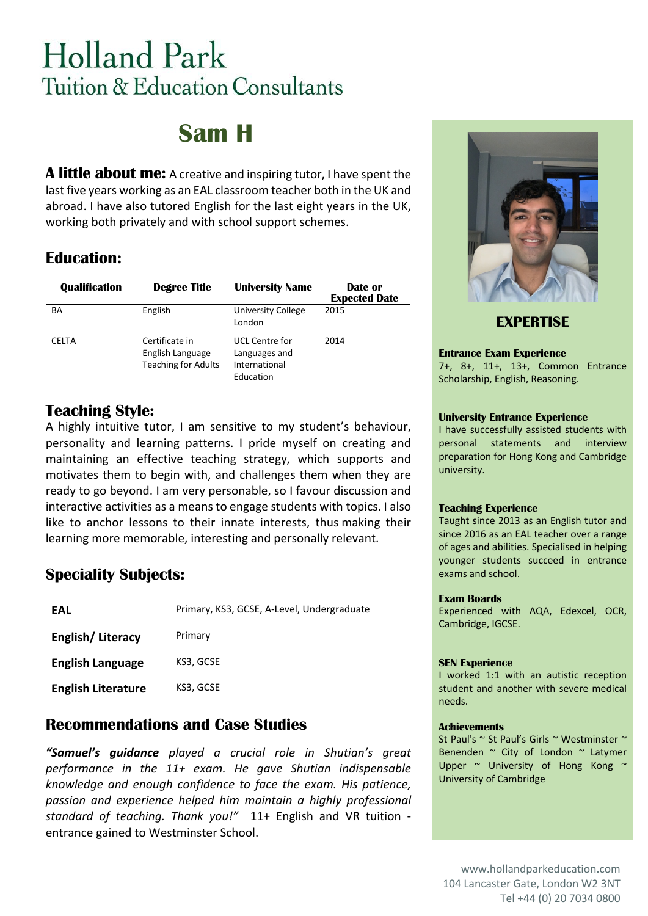# **Holland Park** Tuition & Education Consultants

## **Sam H**

**A little about me:** A creative and inspiring tutor, I have spent the last five years working as an EAL classroom teacher both in the UK and abroad. I have also tutored English for the last eight years in the UK, working both privately and with school support schemes.

## **Education:**

| <b>Qualification</b> | <b>Degree Title</b>                                              | <b>University Name</b>                                               | Date or<br><b>Expected Date</b> |
|----------------------|------------------------------------------------------------------|----------------------------------------------------------------------|---------------------------------|
| ΒA                   | English                                                          | University College<br>London                                         | 2015                            |
| <b>CELTA</b>         | Certificate in<br>English Language<br><b>Teaching for Adults</b> | <b>UCL Centre for</b><br>Languages and<br>International<br>Education | 2014                            |

## **Teaching Style:**

A highly intuitive tutor, I am sensitive to my student's behaviour, personality and learning patterns. I pride myself on creating and maintaining an effective teaching strategy, which supports and motivates them to begin with, and challenges them when they are ready to go beyond. I am very personable, so I favour discussion and interactive activities as a means to engage students with topics. I also like to anchor lessons to their innate interests, thus making their learning more memorable, interesting and personally relevant.

## **Speciality Subjects:**

| FAL                       | Primary, KS3, GCSE, A-Level, Undergraduate |
|---------------------------|--------------------------------------------|
| English/Literacy          | Primary                                    |
| <b>English Language</b>   | KS3, GCSE                                  |
| <b>English Literature</b> | KS3, GCSE                                  |

### **Recommendations and Case Studies**

*"Samuel's guidance played a crucial role in Shutian's great performance in the 11+ exam. He gave Shutian indispensable knowledge and enough confidence to face the exam. His patience, passion and experience helped him maintain a highly professional standard of teaching. Thank you!"* 11+ English and VR tuition entrance gained to Westminster School.



**EXPERTISE**

#### **Entrance Exam Experience**

7+, 8+, 11+, 13+, Common Entrance Scholarship, English, Reasoning.

#### **University Entrance Experience**

I have successfully assisted students with personal statements and interview preparation for Hong Kong and Cambridge university.

#### **Teaching Experience**

Taught since 2013 as an English tutor and since 2016 as an EAL teacher over a range of ages and abilities. Specialised in helping younger students succeed in entrance exams and school.

#### **Exam Boards**

Experienced with AQA, Edexcel, OCR, Cambridge, IGCSE.

#### **SEN Experience**

I worked 1:1 with an autistic reception student and another with severe medical needs.

#### **Achievements**

St Paul's ~ St Paul's Girls ~ Westminster ~ Benenden ~ City of London ~ Latymer Upper ~ University of Hong Kong ~ University of Cambridge